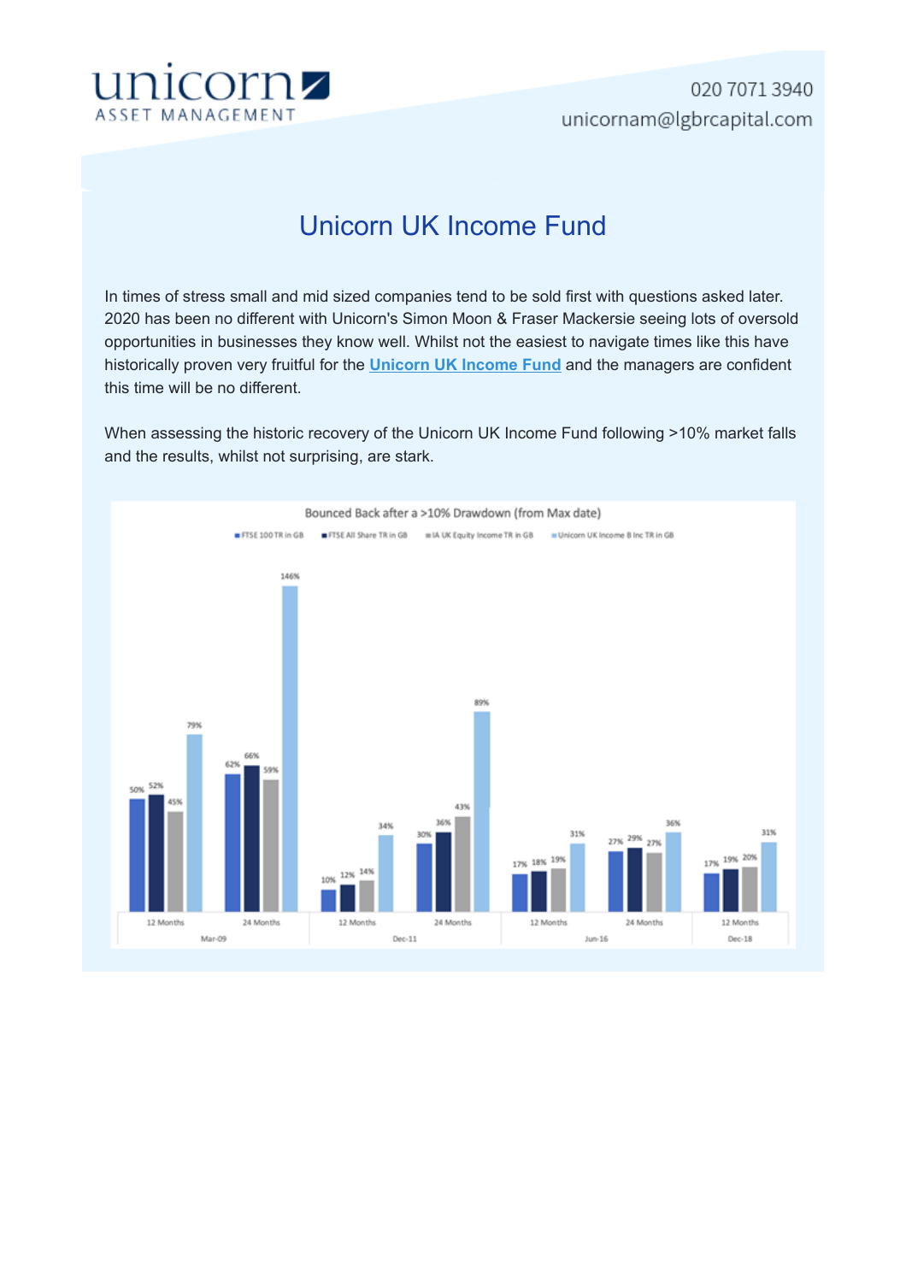

## Unicorn UK Income Fund

In times of stress small and mid sized companies tend to be sold first with questions asked later. 2020 has been no different with Unicorn's Simon Moon & Fraser Mackersie seeing lots of oversold opportunities in businesses they know well. Whilst not the easiest to navigate times like this have historically proven very fruitful for the **Unicorn UK Income Fund** and the managers are confident this time will be no different.

When assessing the historic recovery of the Unicorn UK Income Fund following >10% market falls and the results, whilst not surprising, are stark.

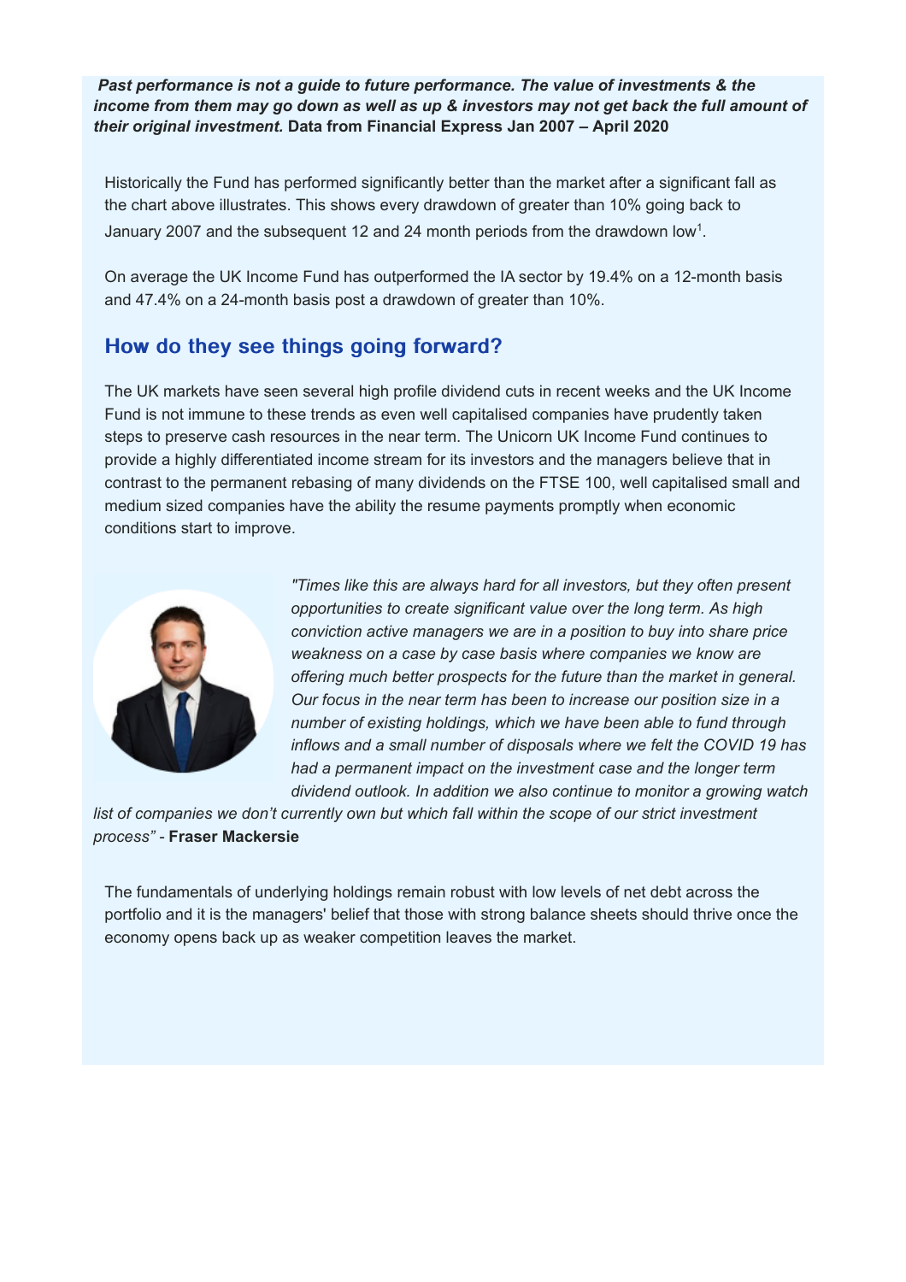*Past performance is not a guide to future performance. The value of investments & the income from them may go down as well as up & investors may not get back the full amount of their original investment.* **Data from Financial Express Jan 2007 – April 2020** 

Historically the Fund has performed significantly better than the market after a significant fall as the chart above illustrates. This shows every drawdown of greater than 10% going back to January 2007 and the subsequent 12 and 24 month periods from the drawdown low1.

On average the UK Income Fund has outperformed the IA sector by 19.4% on a 12-month basis and 47.4% on a 24-month basis post a drawdown of greater than 10%.

## How do they see things going forward?

The UK markets have seen several high profile dividend cuts in recent weeks and the UK Income Fund is not immune to these trends as even well capitalised companies have prudently taken steps to preserve cash resources in the near term. The Unicorn UK Income Fund continues to provide a highly differentiated income stream for its investors and the managers believe that in contrast to the permanent rebasing of many dividends on the FTSE 100, well capitalised small and medium sized companies have the ability the resume payments promptly when economic conditions start to improve.



*"Times like this are always hard for all investors, but they often present opportunities to create significant value over the long term. As high conviction active managers we are in a position to buy into share price weakness on a case by case basis where companies we know are offering much better prospects for the future than the market in general. Our focus in the near term has been to increase our position size in a number of existing holdings, which we have been able to fund through inflows and a small number of disposals where we felt the COVID 19 has had a permanent impact on the investment case and the longer term dividend outlook. In addition we also continue to monitor a growing watch*

*list of companies we don't currently own but which fall within the scope of our strict investment process" -* **Fraser Mackersie** 

The fundamentals of underlying holdings remain robust with low levels of net debt across the portfolio and it is the managers' belief that those with strong balance sheets should thrive once the economy opens back up as weaker competition leaves the market.